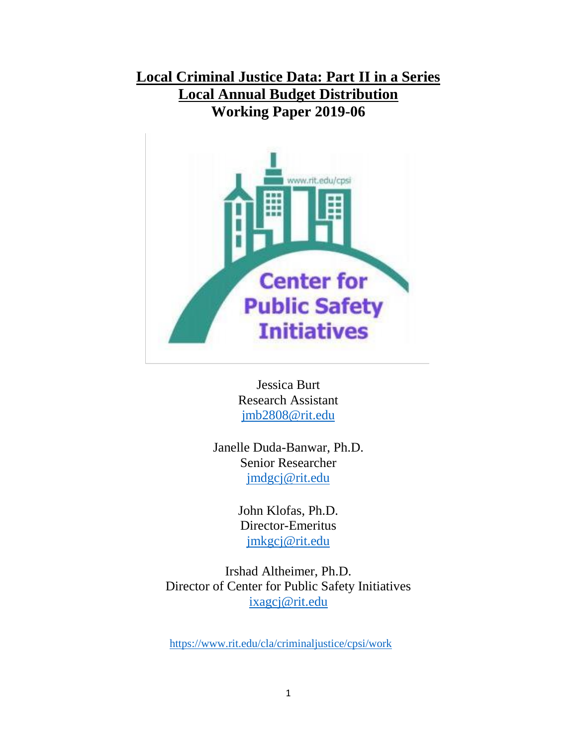**Local Criminal Justice Data: Part II in a Series Local Annual Budget Distribution Working Paper 2019-06**



Jessica Burt Research Assistant [jmb2808@rit.edu](mailto:jmb2808@rit.edu)

Janelle Duda-Banwar, Ph.D. Senior Researcher [jmdgcj@rit.edu](mailto:jmdgcj@rit.edu)

> John Klofas, Ph.D. Director-Emeritus [jmkgcj@rit.edu](mailto:jmkgcj@rit.edu)

Irshad Altheimer, Ph.D. Director of Center for Public Safety Initiatives [ixagcj@rit.edu](mailto:ixagcj@rit.edu)

<https://www.rit.edu/cla/criminaljustice/cpsi/work>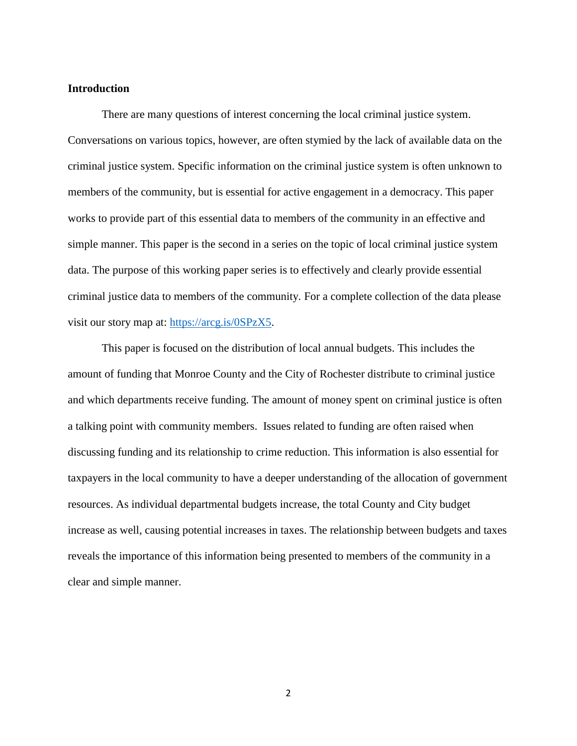# **Introduction**

There are many questions of interest concerning the local criminal justice system. Conversations on various topics, however, are often stymied by the lack of available data on the criminal justice system. Specific information on the criminal justice system is often unknown to members of the community, but is essential for active engagement in a democracy. This paper works to provide part of this essential data to members of the community in an effective and simple manner. This paper is the second in a series on the topic of local criminal justice system data. The purpose of this working paper series is to effectively and clearly provide essential criminal justice data to members of the community. For a complete collection of the data please visit our story map at: [https://arcg.is/0SPzX5.](https://arcg.is/0SPzX5)

This paper is focused on the distribution of local annual budgets. This includes the amount of funding that Monroe County and the City of Rochester distribute to criminal justice and which departments receive funding. The amount of money spent on criminal justice is often a talking point with community members. Issues related to funding are often raised when discussing funding and its relationship to crime reduction. This information is also essential for taxpayers in the local community to have a deeper understanding of the allocation of government resources. As individual departmental budgets increase, the total County and City budget increase as well, causing potential increases in taxes. The relationship between budgets and taxes reveals the importance of this information being presented to members of the community in a clear and simple manner.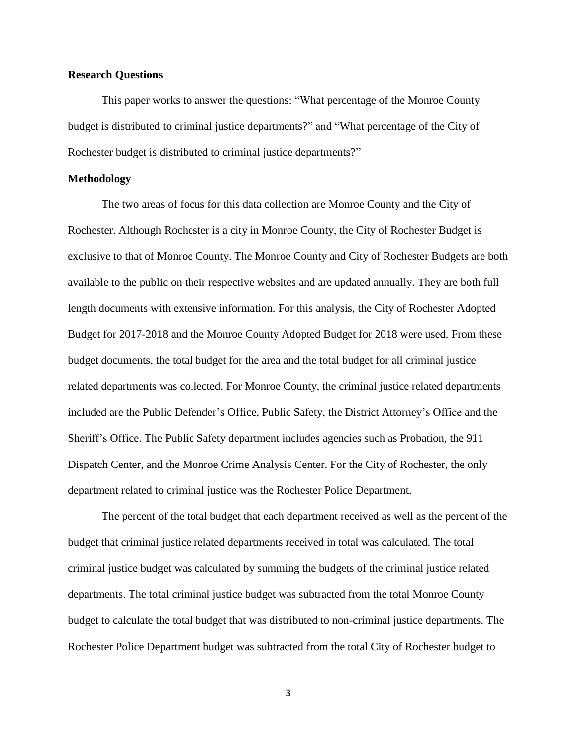## **Research Questions**

This paper works to answer the questions: "What percentage of the Monroe County budget is distributed to criminal justice departments?" and "What percentage of the City of Rochester budget is distributed to criminal justice departments?"

#### **Methodology**

The two areas of focus for this data collection are Monroe County and the City of Rochester. Although Rochester is a city in Monroe County, the City of Rochester Budget is exclusive to that of Monroe County. The Monroe County and City of Rochester Budgets are both available to the public on their respective websites and are updated annually. They are both full length documents with extensive information. For this analysis, the City of Rochester Adopted Budget for 2017-2018 and the Monroe County Adopted Budget for 2018 were used. From these budget documents, the total budget for the area and the total budget for all criminal justice related departments was collected. For Monroe County, the criminal justice related departments included are the Public Defender's Office, Public Safety, the District Attorney's Office and the Sheriff's Office. The Public Safety department includes agencies such as Probation, the 911 Dispatch Center, and the Monroe Crime Analysis Center. For the City of Rochester, the only department related to criminal justice was the Rochester Police Department.

The percent of the total budget that each department received as well as the percent of the budget that criminal justice related departments received in total was calculated. The total criminal justice budget was calculated by summing the budgets of the criminal justice related departments. The total criminal justice budget was subtracted from the total Monroe County budget to calculate the total budget that was distributed to non-criminal justice departments. The Rochester Police Department budget was subtracted from the total City of Rochester budget to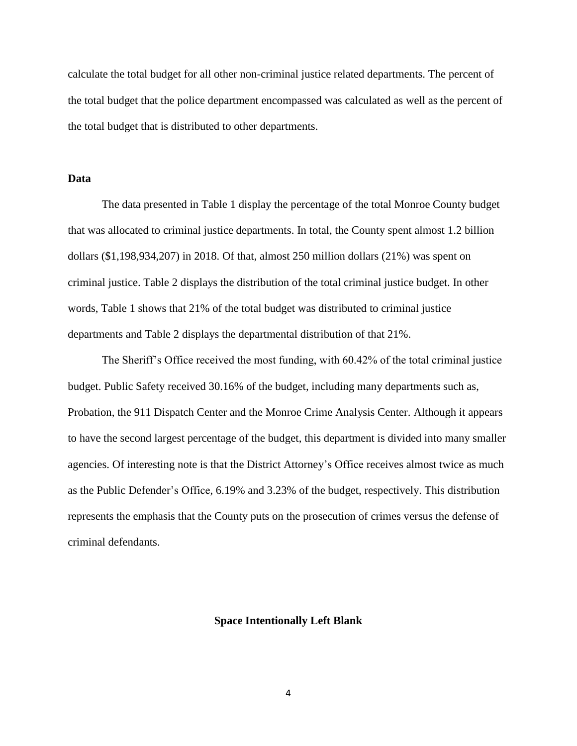calculate the total budget for all other non-criminal justice related departments. The percent of the total budget that the police department encompassed was calculated as well as the percent of the total budget that is distributed to other departments.

### **Data**

The data presented in Table 1 display the percentage of the total Monroe County budget that was allocated to criminal justice departments. In total, the County spent almost 1.2 billion dollars (\$1,198,934,207) in 2018. Of that, almost 250 million dollars (21%) was spent on criminal justice. Table 2 displays the distribution of the total criminal justice budget. In other words, Table 1 shows that 21% of the total budget was distributed to criminal justice departments and Table 2 displays the departmental distribution of that 21%.

The Sheriff's Office received the most funding, with 60.42% of the total criminal justice budget. Public Safety received 30.16% of the budget, including many departments such as, Probation, the 911 Dispatch Center and the Monroe Crime Analysis Center. Although it appears to have the second largest percentage of the budget, this department is divided into many smaller agencies. Of interesting note is that the District Attorney's Office receives almost twice as much as the Public Defender's Office, 6.19% and 3.23% of the budget, respectively. This distribution represents the emphasis that the County puts on the prosecution of crimes versus the defense of criminal defendants.

#### **Space Intentionally Left Blank**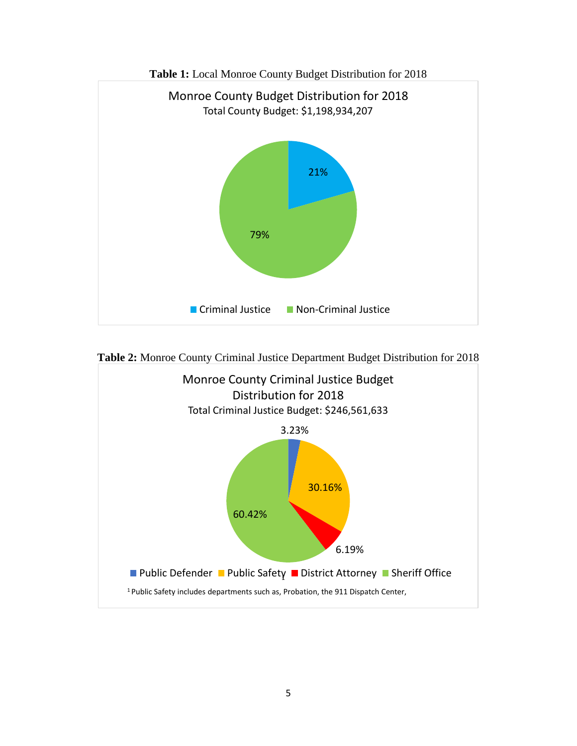



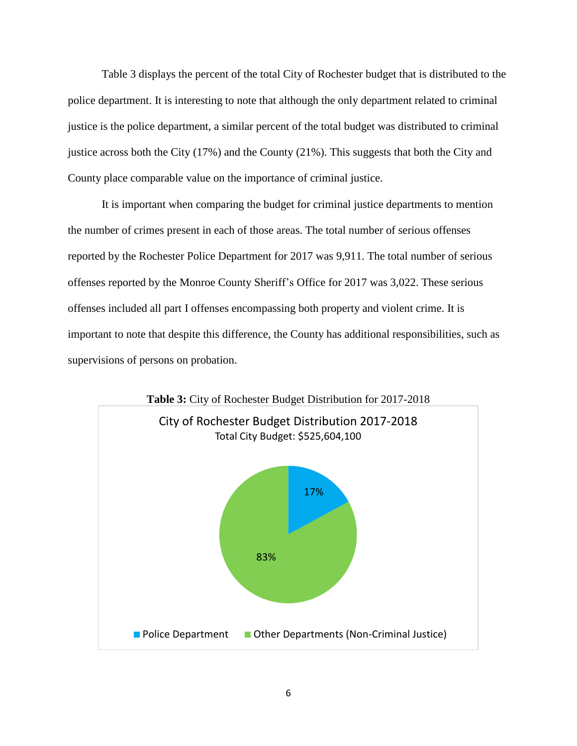Table 3 displays the percent of the total City of Rochester budget that is distributed to the police department. It is interesting to note that although the only department related to criminal justice is the police department, a similar percent of the total budget was distributed to criminal justice across both the City (17%) and the County (21%). This suggests that both the City and County place comparable value on the importance of criminal justice.

It is important when comparing the budget for criminal justice departments to mention the number of crimes present in each of those areas. The total number of serious offenses reported by the Rochester Police Department for 2017 was 9,911. The total number of serious offenses reported by the Monroe County Sheriff's Office for 2017 was 3,022. These serious offenses included all part I offenses encompassing both property and violent crime. It is important to note that despite this difference, the County has additional responsibilities, such as supervisions of persons on probation.



**Table 3:** City of Rochester Budget Distribution for 2017-2018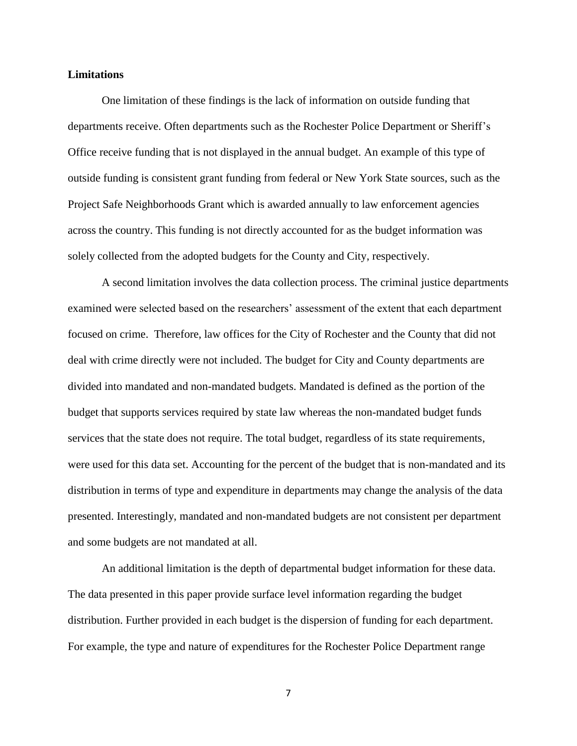### **Limitations**

One limitation of these findings is the lack of information on outside funding that departments receive. Often departments such as the Rochester Police Department or Sheriff's Office receive funding that is not displayed in the annual budget. An example of this type of outside funding is consistent grant funding from federal or New York State sources, such as the Project Safe Neighborhoods Grant which is awarded annually to law enforcement agencies across the country. This funding is not directly accounted for as the budget information was solely collected from the adopted budgets for the County and City, respectively.

A second limitation involves the data collection process. The criminal justice departments examined were selected based on the researchers' assessment of the extent that each department focused on crime. Therefore, law offices for the City of Rochester and the County that did not deal with crime directly were not included. The budget for City and County departments are divided into mandated and non-mandated budgets. Mandated is defined as the portion of the budget that supports services required by state law whereas the non-mandated budget funds services that the state does not require. The total budget, regardless of its state requirements, were used for this data set. Accounting for the percent of the budget that is non-mandated and its distribution in terms of type and expenditure in departments may change the analysis of the data presented. Interestingly, mandated and non-mandated budgets are not consistent per department and some budgets are not mandated at all.

An additional limitation is the depth of departmental budget information for these data. The data presented in this paper provide surface level information regarding the budget distribution. Further provided in each budget is the dispersion of funding for each department. For example, the type and nature of expenditures for the Rochester Police Department range